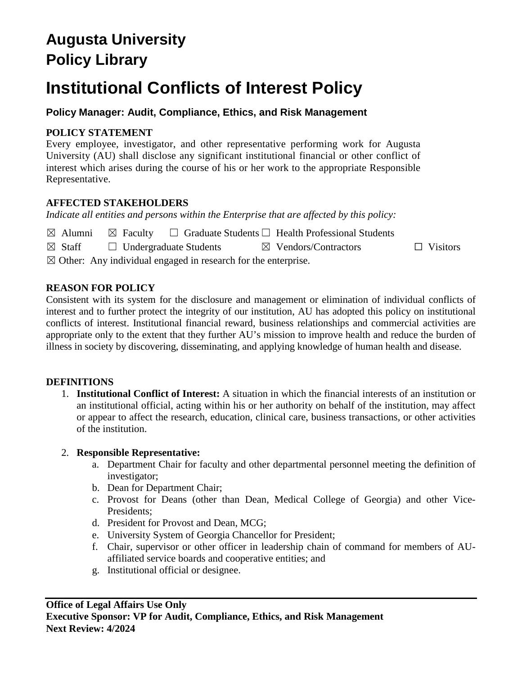# **Augusta University Policy Library**

# **Institutional Conflicts of Interest Policy**

**Policy Manager: Audit, Compliance, Ethics, and Risk Management**

# **POLICY STATEMENT**

Every employee, investigator, and other representative performing work for Augusta University (AU) shall disclose any significant institutional financial or other conflict of interest which arises during the course of his or her work to the appropriate Responsible Representative.

# **AFFECTED STAKEHOLDERS**

*Indicate all entities and persons within the Enterprise that are affected by this policy:* 

|                                  | $\boxtimes$ Alumni $\boxtimes$ Faculty $\Box$ Graduate Students $\Box$ Health Professional Students |  |
|----------------------------------|-----------------------------------------------------------------------------------------------------|--|
| $\sqrt{2}$ $\sqrt{2}$ $\sqrt{2}$ | $\blacksquare$                                                                                      |  |

☒ Staff ☐ Undergraduate Students ☒ Vendors/Contractors ☐ Visitors

 $\boxtimes$  Other: Any individual engaged in research for the enterprise.

# **REASON FOR POLICY**

Consistent with its system for the disclosure and management or elimination of individual conflicts of interest and to further protect the integrity of our institution, AU has adopted this policy on institutional conflicts of interest. Institutional financial reward, business relationships and commercial activities are appropriate only to the extent that they further AU's mission to improve health and reduce the burden of illness in society by discovering, disseminating, and applying knowledge of human health and disease.

# **DEFINITIONS**

1. **Institutional Conflict of Interest:** A situation in which the financial interests of an institution or an institutional official, acting within his or her authority on behalf of the institution, may affect or appear to affect the research, education, clinical care, business transactions, or other activities of the institution.

#### 2. **Responsible Representative:**

- a. Department Chair for faculty and other departmental personnel meeting the definition of investigator;
- b. Dean for Department Chair;
- c. Provost for Deans (other than Dean, Medical College of Georgia) and other Vice-Presidents;
- d. President for Provost and Dean, MCG;
- e. University System of Georgia Chancellor for President;
- f. Chair, supervisor or other officer in leadership chain of command for members of AUaffiliated service boards and cooperative entities; and
- g. Institutional official or designee.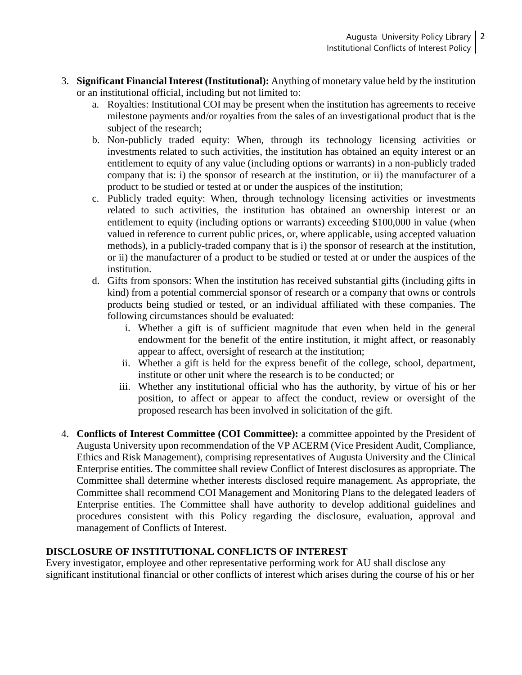- 3. **Significant Financial Interest (Institutional):** Anything of monetary value held by the institution or an institutional official, including but not limited to:
	- a. Royalties: Institutional COI may be present when the institution has agreements to receive milestone payments and/or royalties from the sales of an investigational product that is the subject of the research;
	- b. Non-publicly traded equity: When, through its technology licensing activities or investments related to such activities, the institution has obtained an equity interest or an entitlement to equity of any value (including options or warrants) in a non-publicly traded company that is: i) the sponsor of research at the institution, or ii) the manufacturer of a product to be studied or tested at or under the auspices of the institution;
	- c. Publicly traded equity: When, through technology licensing activities or investments related to such activities, the institution has obtained an ownership interest or an entitlement to equity (including options or warrants) exceeding \$100,000 in value (when valued in reference to current public prices, or, where applicable, using accepted valuation methods), in a publicly-traded company that is i) the sponsor of research at the institution, or ii) the manufacturer of a product to be studied or tested at or under the auspices of the institution.
	- d. Gifts from sponsors: When the institution has received substantial gifts (including gifts in kind) from a potential commercial sponsor of research or a company that owns or controls products being studied or tested, or an individual affiliated with these companies. The following circumstances should be evaluated:
		- i. Whether a gift is of sufficient magnitude that even when held in the general endowment for the benefit of the entire institution, it might affect, or reasonably appear to affect, oversight of research at the institution;
		- ii. Whether a gift is held for the express benefit of the college, school, department, institute or other unit where the research is to be conducted; or
		- iii. Whether any institutional official who has the authority, by virtue of his or her position, to affect or appear to affect the conduct, review or oversight of the proposed research has been involved in solicitation of the gift.
- 4. **Conflicts of Interest Committee (COI Committee):** a committee appointed by the President of Augusta University upon recommendation of the VP ACERM (Vice President Audit, Compliance, Ethics and Risk Management), comprising representatives of Augusta University and the Clinical Enterprise entities. The committee shall review Conflict of Interest disclosures as appropriate. The Committee shall determine whether interests disclosed require management. As appropriate, the Committee shall recommend COI Management and Monitoring Plans to the delegated leaders of Enterprise entities. The Committee shall have authority to develop additional guidelines and procedures consistent with this Policy regarding the disclosure, evaluation, approval and management of Conflicts of Interest.

#### **DISCLOSURE OF INSTITUTIONAL CONFLICTS OF INTEREST**

Every investigator, employee and other representative performing work for AU shall disclose any significant institutional financial or other conflicts of interest which arises during the course of his or her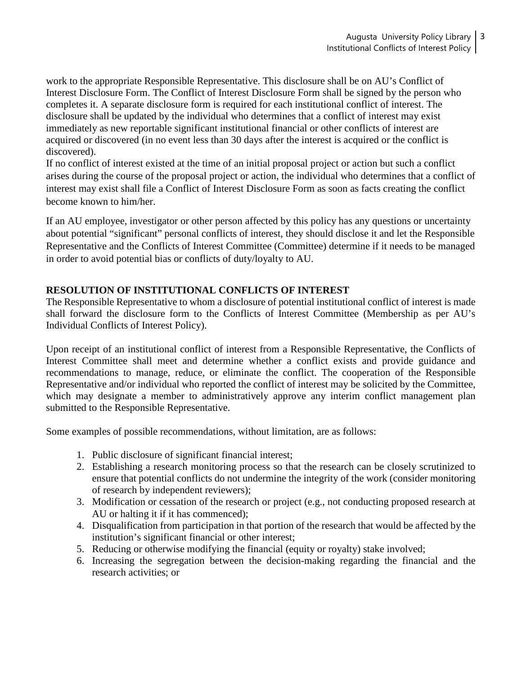work to the appropriate Responsible Representative. This disclosure shall be on AU's Conflict of Interest Disclosure Form. The Conflict of Interest Disclosure Form shall be signed by the person who completes it. A separate disclosure form is required for each institutional conflict of interest. The disclosure shall be updated by the individual who determines that a conflict of interest may exist immediately as new reportable significant institutional financial or other conflicts of interest are acquired or discovered (in no event less than 30 days after the interest is acquired or the conflict is discovered).

If no conflict of interest existed at the time of an initial proposal project or action but such a conflict arises during the course of the proposal project or action, the individual who determines that a conflict of interest may exist shall file a Conflict of Interest Disclosure Form as soon as facts creating the conflict become known to him/her.

If an AU employee, investigator or other person affected by this policy has any questions or uncertainty about potential "significant" personal conflicts of interest, they should disclose it and let the Responsible Representative and the Conflicts of Interest Committee (Committee) determine if it needs to be managed in order to avoid potential bias or conflicts of duty/loyalty to AU.

# **RESOLUTION OF INSTITUTIONAL CONFLICTS OF INTEREST**

The Responsible Representative to whom a disclosure of potential institutional conflict of interest is made shall forward the disclosure form to the Conflicts of Interest Committee (Membership as per AU's Individual Conflicts of Interest Policy).

Upon receipt of an institutional conflict of interest from a Responsible Representative, the Conflicts of Interest Committee shall meet and determine whether a conflict exists and provide guidance and recommendations to manage, reduce, or eliminate the conflict. The cooperation of the Responsible Representative and/or individual who reported the conflict of interest may be solicited by the Committee, which may designate a member to administratively approve any interim conflict management plan submitted to the Responsible Representative.

Some examples of possible recommendations, without limitation, are as follows:

- 1. Public disclosure of significant financial interest;
- 2. Establishing a research monitoring process so that the research can be closely scrutinized to ensure that potential conflicts do not undermine the integrity of the work (consider monitoring of research by independent reviewers);
- 3. Modification or cessation of the research or project (e.g., not conducting proposed research at AU or halting it if it has commenced);
- 4. Disqualification from participation in that portion of the research that would be affected by the institution's significant financial or other interest;
- 5. Reducing or otherwise modifying the financial (equity or royalty) stake involved;
- 6. Increasing the segregation between the decision-making regarding the financial and the research activities; or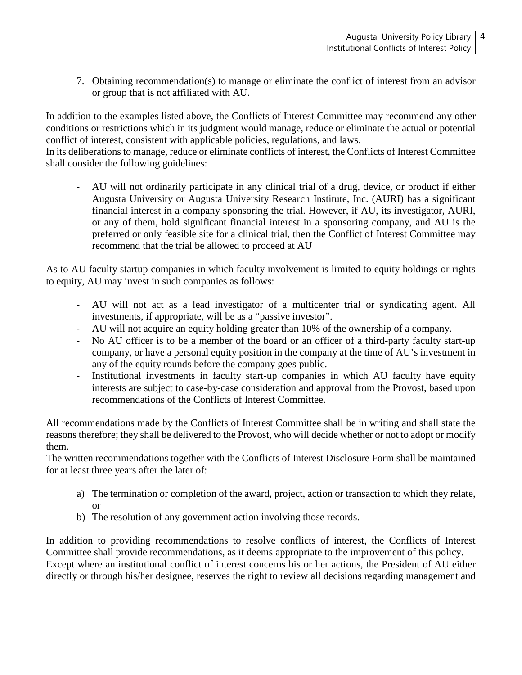7. Obtaining recommendation(s) to manage or eliminate the conflict of interest from an advisor or group that is not affiliated with AU.

In addition to the examples listed above, the Conflicts of Interest Committee may recommend any other conditions or restrictions which in its judgment would manage, reduce or eliminate the actual or potential conflict of interest, consistent with applicable policies, regulations, and laws.

In its deliberations to manage, reduce or eliminate conflicts of interest, the Conflicts of Interest Committee shall consider the following guidelines:

- AU will not ordinarily participate in any clinical trial of a drug, device, or product if either Augusta University or Augusta University Research Institute, Inc. (AURI) has a significant financial interest in a company sponsoring the trial. However, if AU, its investigator, AURI, or any of them, hold significant financial interest in a sponsoring company, and AU is the preferred or only feasible site for a clinical trial, then the Conflict of Interest Committee may recommend that the trial be allowed to proceed at AU

As to AU faculty startup companies in which faculty involvement is limited to equity holdings or rights to equity, AU may invest in such companies as follows:

- AU will not act as a lead investigator of a multicenter trial or syndicating agent. All investments, if appropriate, will be as a "passive investor".
- AU will not acquire an equity holding greater than 10% of the ownership of a company.
- No AU officer is to be a member of the board or an officer of a third-party faculty start-up company, or have a personal equity position in the company at the time of AU's investment in any of the equity rounds before the company goes public.
- Institutional investments in faculty start-up companies in which AU faculty have equity interests are subject to case-by-case consideration and approval from the Provost, based upon recommendations of the Conflicts of Interest Committee.

All recommendations made by the Conflicts of Interest Committee shall be in writing and shall state the reasons therefore; they shall be delivered to the Provost, who will decide whether or not to adopt or modify them.

The written recommendations together with the Conflicts of Interest Disclosure Form shall be maintained for at least three years after the later of:

- a) The termination or completion of the award, project, action or transaction to which they relate, or
- b) The resolution of any government action involving those records.

In addition to providing recommendations to resolve conflicts of interest, the Conflicts of Interest Committee shall provide recommendations, as it deems appropriate to the improvement of this policy. Except where an institutional conflict of interest concerns his or her actions, the President of AU either directly or through his/her designee, reserves the right to review all decisions regarding management and